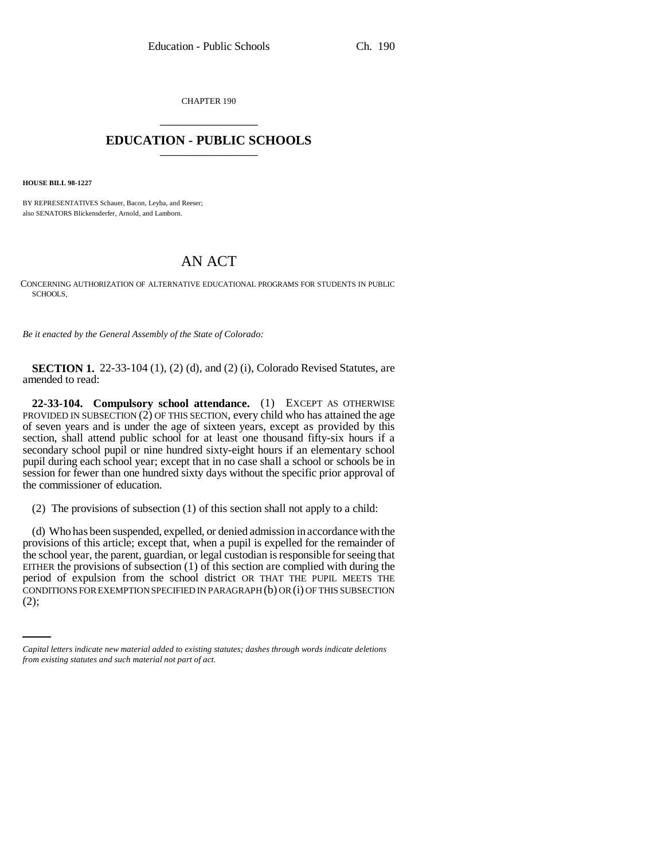CHAPTER 190 \_\_\_\_\_\_\_\_\_\_\_\_\_\_\_

## **EDUCATION - PUBLIC SCHOOLS** \_\_\_\_\_\_\_\_\_\_\_\_\_\_\_

**HOUSE BILL 98-1227**

BY REPRESENTATIVES Schauer, Bacon, Leyba, and Reeser; also SENATORS Blickensderfer, Arnold, and Lamborn.

## AN ACT

CONCERNING AUTHORIZATION OF ALTERNATIVE EDUCATIONAL PROGRAMS FOR STUDENTS IN PUBLIC SCHOOLS.

*Be it enacted by the General Assembly of the State of Colorado:*

**SECTION 1.** 22-33-104 (1), (2) (d), and (2) (i), Colorado Revised Statutes, are amended to read:

**22-33-104. Compulsory school attendance.** (1) EXCEPT AS OTHERWISE PROVIDED IN SUBSECTION (2) OF THIS SECTION, every child who has attained the age of seven years and is under the age of sixteen years, except as provided by this section, shall attend public school for at least one thousand fifty-six hours if a secondary school pupil or nine hundred sixty-eight hours if an elementary school pupil during each school year; except that in no case shall a school or schools be in session for fewer than one hundred sixty days without the specific prior approval of the commissioner of education.

(2) The provisions of subsection (1) of this section shall not apply to a child:

period of expulsion from the school district OR THAT THE PUPIL MEETS THE (d) Who has been suspended, expelled, or denied admission in accordance with the provisions of this article; except that, when a pupil is expelled for the remainder of the school year, the parent, guardian, or legal custodian is responsible for seeing that EITHER the provisions of subsection (1) of this section are complied with during the CONDITIONS FOR EXEMPTION SPECIFIED IN PARAGRAPH (b) OR (i) OF THIS SUBSECTION (2);

*Capital letters indicate new material added to existing statutes; dashes through words indicate deletions from existing statutes and such material not part of act.*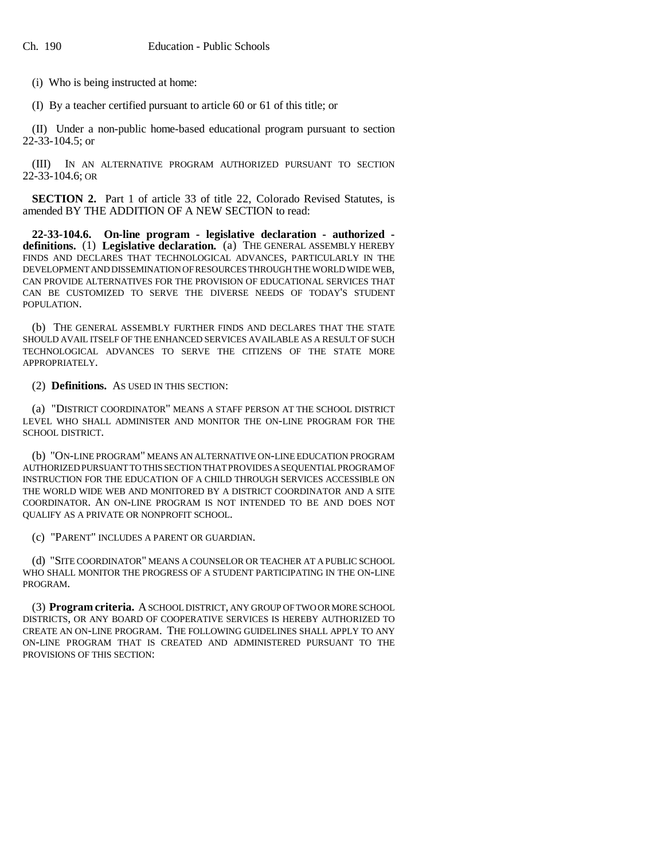(i) Who is being instructed at home:

(I) By a teacher certified pursuant to article 60 or 61 of this title; or

(II) Under a non-public home-based educational program pursuant to section 22-33-104.5; or

(III) IN AN ALTERNATIVE PROGRAM AUTHORIZED PURSUANT TO SECTION 22-33-104.6; OR

**SECTION 2.** Part 1 of article 33 of title 22, Colorado Revised Statutes, is amended BY THE ADDITION OF A NEW SECTION to read:

**22-33-104.6. On-line program - legislative declaration - authorized definitions.** (1) **Legislative declaration.** (a) THE GENERAL ASSEMBLY HEREBY FINDS AND DECLARES THAT TECHNOLOGICAL ADVANCES, PARTICULARLY IN THE DEVELOPMENT AND DISSEMINATION OF RESOURCES THROUGH THE WORLD WIDE WEB, CAN PROVIDE ALTERNATIVES FOR THE PROVISION OF EDUCATIONAL SERVICES THAT CAN BE CUSTOMIZED TO SERVE THE DIVERSE NEEDS OF TODAY'S STUDENT POPULATION.

(b) THE GENERAL ASSEMBLY FURTHER FINDS AND DECLARES THAT THE STATE SHOULD AVAIL ITSELF OF THE ENHANCED SERVICES AVAILABLE AS A RESULT OF SUCH TECHNOLOGICAL ADVANCES TO SERVE THE CITIZENS OF THE STATE MORE APPROPRIATELY.

(2) **Definitions.** AS USED IN THIS SECTION:

(a) "DISTRICT COORDINATOR" MEANS A STAFF PERSON AT THE SCHOOL DISTRICT LEVEL WHO SHALL ADMINISTER AND MONITOR THE ON-LINE PROGRAM FOR THE SCHOOL DISTRICT.

(b) "ON-LINE PROGRAM" MEANS AN ALTERNATIVE ON-LINE EDUCATION PROGRAM AUTHORIZED PURSUANT TO THIS SECTION THAT PROVIDES A SEQUENTIAL PROGRAM OF INSTRUCTION FOR THE EDUCATION OF A CHILD THROUGH SERVICES ACCESSIBLE ON THE WORLD WIDE WEB AND MONITORED BY A DISTRICT COORDINATOR AND A SITE COORDINATOR. AN ON-LINE PROGRAM IS NOT INTENDED TO BE AND DOES NOT QUALIFY AS A PRIVATE OR NONPROFIT SCHOOL.

(c) "PARENT" INCLUDES A PARENT OR GUARDIAN.

(d) "SITE COORDINATOR" MEANS A COUNSELOR OR TEACHER AT A PUBLIC SCHOOL WHO SHALL MONITOR THE PROGRESS OF A STUDENT PARTICIPATING IN THE ON-LINE PROGRAM.

(3) **Program criteria.** A SCHOOL DISTRICT, ANY GROUP OF TWO OR MORE SCHOOL DISTRICTS, OR ANY BOARD OF COOPERATIVE SERVICES IS HEREBY AUTHORIZED TO CREATE AN ON-LINE PROGRAM. THE FOLLOWING GUIDELINES SHALL APPLY TO ANY ON-LINE PROGRAM THAT IS CREATED AND ADMINISTERED PURSUANT TO THE PROVISIONS OF THIS SECTION: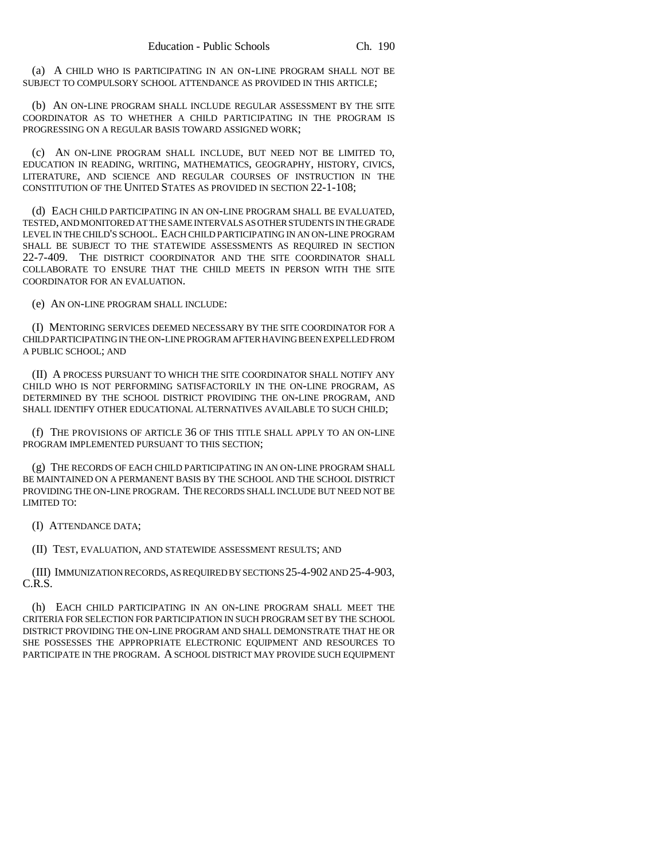(a) A CHILD WHO IS PARTICIPATING IN AN ON-LINE PROGRAM SHALL NOT BE SUBJECT TO COMPULSORY SCHOOL ATTENDANCE AS PROVIDED IN THIS ARTICLE;

(b) AN ON-LINE PROGRAM SHALL INCLUDE REGULAR ASSESSMENT BY THE SITE COORDINATOR AS TO WHETHER A CHILD PARTICIPATING IN THE PROGRAM IS PROGRESSING ON A REGULAR BASIS TOWARD ASSIGNED WORK;

(c) AN ON-LINE PROGRAM SHALL INCLUDE, BUT NEED NOT BE LIMITED TO, EDUCATION IN READING, WRITING, MATHEMATICS, GEOGRAPHY, HISTORY, CIVICS, LITERATURE, AND SCIENCE AND REGULAR COURSES OF INSTRUCTION IN THE CONSTITUTION OF THE UNITED STATES AS PROVIDED IN SECTION 22-1-108;

(d) EACH CHILD PARTICIPATING IN AN ON-LINE PROGRAM SHALL BE EVALUATED, TESTED, AND MONITORED AT THE SAME INTERVALS AS OTHER STUDENTS IN THE GRADE LEVEL IN THE CHILD'S SCHOOL. EACH CHILD PARTICIPATING IN AN ON-LINE PROGRAM SHALL BE SUBJECT TO THE STATEWIDE ASSESSMENTS AS REQUIRED IN SECTION 22-7-409. THE DISTRICT COORDINATOR AND THE SITE COORDINATOR SHALL COLLABORATE TO ENSURE THAT THE CHILD MEETS IN PERSON WITH THE SITE COORDINATOR FOR AN EVALUATION.

(e) AN ON-LINE PROGRAM SHALL INCLUDE:

(I) MENTORING SERVICES DEEMED NECESSARY BY THE SITE COORDINATOR FOR A CHILD PARTICIPATING IN THE ON-LINE PROGRAM AFTER HAVING BEEN EXPELLED FROM A PUBLIC SCHOOL; AND

(II) A PROCESS PURSUANT TO WHICH THE SITE COORDINATOR SHALL NOTIFY ANY CHILD WHO IS NOT PERFORMING SATISFACTORILY IN THE ON-LINE PROGRAM, AS DETERMINED BY THE SCHOOL DISTRICT PROVIDING THE ON-LINE PROGRAM, AND SHALL IDENTIFY OTHER EDUCATIONAL ALTERNATIVES AVAILABLE TO SUCH CHILD;

(f) THE PROVISIONS OF ARTICLE 36 OF THIS TITLE SHALL APPLY TO AN ON-LINE PROGRAM IMPLEMENTED PURSUANT TO THIS SECTION;

(g) THE RECORDS OF EACH CHILD PARTICIPATING IN AN ON-LINE PROGRAM SHALL BE MAINTAINED ON A PERMANENT BASIS BY THE SCHOOL AND THE SCHOOL DISTRICT PROVIDING THE ON-LINE PROGRAM. THE RECORDS SHALL INCLUDE BUT NEED NOT BE LIMITED TO:

(I) ATTENDANCE DATA;

(II) TEST, EVALUATION, AND STATEWIDE ASSESSMENT RESULTS; AND

(III) IMMUNIZATION RECORDS, AS REQUIRED BY SECTIONS 25-4-902 AND 25-4-903, C.R.S.

(h) EACH CHILD PARTICIPATING IN AN ON-LINE PROGRAM SHALL MEET THE CRITERIA FOR SELECTION FOR PARTICIPATION IN SUCH PROGRAM SET BY THE SCHOOL DISTRICT PROVIDING THE ON-LINE PROGRAM AND SHALL DEMONSTRATE THAT HE OR SHE POSSESSES THE APPROPRIATE ELECTRONIC EQUIPMENT AND RESOURCES TO PARTICIPATE IN THE PROGRAM. A SCHOOL DISTRICT MAY PROVIDE SUCH EQUIPMENT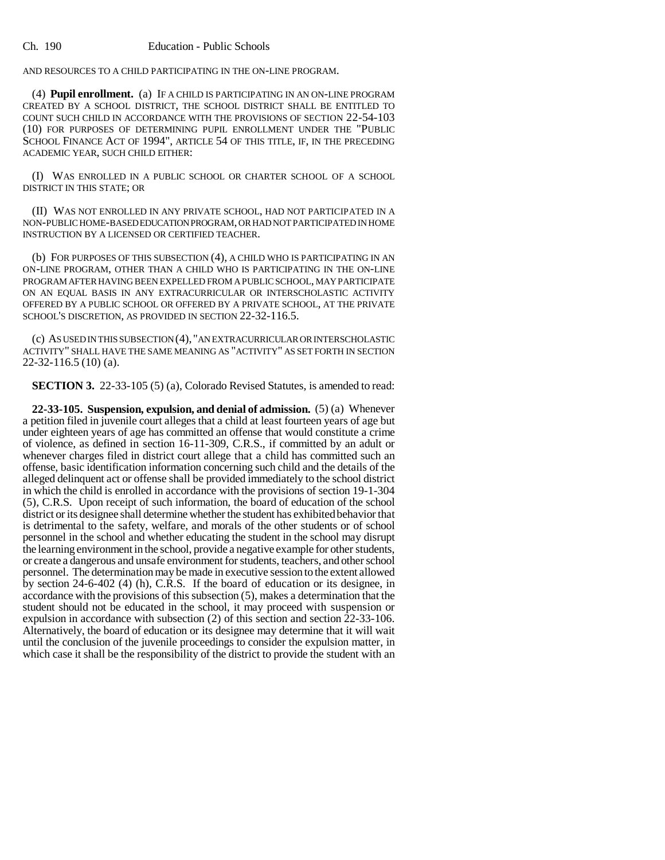AND RESOURCES TO A CHILD PARTICIPATING IN THE ON-LINE PROGRAM.

(4) **Pupil enrollment.** (a) IF A CHILD IS PARTICIPATING IN AN ON-LINE PROGRAM CREATED BY A SCHOOL DISTRICT, THE SCHOOL DISTRICT SHALL BE ENTITLED TO COUNT SUCH CHILD IN ACCORDANCE WITH THE PROVISIONS OF SECTION 22-54-103 (10) FOR PURPOSES OF DETERMINING PUPIL ENROLLMENT UNDER THE "PUBLIC SCHOOL FINANCE ACT OF 1994", ARTICLE 54 OF THIS TITLE, IF, IN THE PRECEDING ACADEMIC YEAR, SUCH CHILD EITHER:

(I) WAS ENROLLED IN A PUBLIC SCHOOL OR CHARTER SCHOOL OF A SCHOOL DISTRICT IN THIS STATE; OR

(II) WAS NOT ENROLLED IN ANY PRIVATE SCHOOL, HAD NOT PARTICIPATED IN A NON-PUBLIC HOME-BASED EDUCATION PROGRAM, OR HAD NOT PARTICIPATED IN HOME INSTRUCTION BY A LICENSED OR CERTIFIED TEACHER.

(b) FOR PURPOSES OF THIS SUBSECTION (4), A CHILD WHO IS PARTICIPATING IN AN ON-LINE PROGRAM, OTHER THAN A CHILD WHO IS PARTICIPATING IN THE ON-LINE PROGRAM AFTER HAVING BEEN EXPELLED FROM A PUBLIC SCHOOL, MAY PARTICIPATE ON AN EQUAL BASIS IN ANY EXTRACURRICULAR OR INTERSCHOLASTIC ACTIVITY OFFERED BY A PUBLIC SCHOOL OR OFFERED BY A PRIVATE SCHOOL, AT THE PRIVATE SCHOOL'S DISCRETION, AS PROVIDED IN SECTION 22-32-116.5.

(c) AS USED IN THIS SUBSECTION (4), "AN EXTRACURRICULAR OR INTERSCHOLASTIC ACTIVITY" SHALL HAVE THE SAME MEANING AS "ACTIVITY" AS SET FORTH IN SECTION 22-32-116.5 (10) (a).

**SECTION 3.** 22-33-105 (5) (a), Colorado Revised Statutes, is amended to read:

**22-33-105. Suspension, expulsion, and denial of admission.** (5) (a) Whenever a petition filed in juvenile court alleges that a child at least fourteen years of age but under eighteen years of age has committed an offense that would constitute a crime of violence, as defined in section 16-11-309, C.R.S., if committed by an adult or whenever charges filed in district court allege that a child has committed such an offense, basic identification information concerning such child and the details of the alleged delinquent act or offense shall be provided immediately to the school district in which the child is enrolled in accordance with the provisions of section 19-1-304 (5), C.R.S. Upon receipt of such information, the board of education of the school district or its designee shall determine whether the student has exhibited behavior that is detrimental to the safety, welfare, and morals of the other students or of school personnel in the school and whether educating the student in the school may disrupt the learning environment in the school, provide a negative example for other students, or create a dangerous and unsafe environment for students, teachers, and other school personnel. The determination may be made in executive session to the extent allowed by section 24-6-402 (4) (h), C.R.S. If the board of education or its designee, in accordance with the provisions of this subsection (5), makes a determination that the student should not be educated in the school, it may proceed with suspension or expulsion in accordance with subsection (2) of this section and section 22-33-106. Alternatively, the board of education or its designee may determine that it will wait until the conclusion of the juvenile proceedings to consider the expulsion matter, in which case it shall be the responsibility of the district to provide the student with an